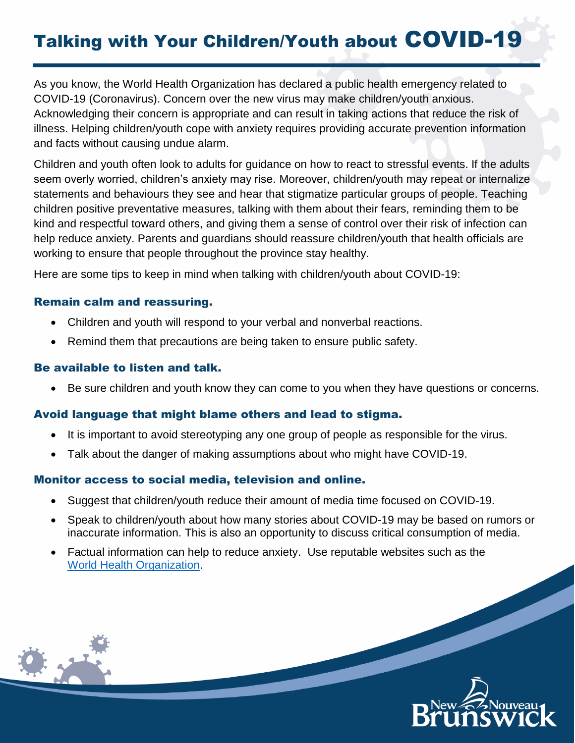# Talking with Your Children/Youth about COVID-19

As you know, the World Health Organization has declared a public health emergency related to COVID-19 (Coronavirus). Concern over the new virus may make children/youth anxious. Acknowledging their concern is appropriate and can result in taking actions that reduce the risk of illness. Helping children/youth cope with anxiety requires providing accurate prevention information and facts without causing undue alarm.

Children and youth often look to adults for guidance on how to react to stressful events. If the adults seem overly worried, children's anxiety may rise. Moreover, children/youth may repeat or internalize statements and behaviours they see and hear that stigmatize particular groups of people. Teaching children positive preventative measures, talking with them about their fears, reminding them to be kind and respectful toward others, and giving them a sense of control over their risk of infection can help reduce anxiety. Parents and guardians should reassure children/youth that health officials are working to ensure that people throughout the province stay healthy.

Here are some tips to keep in mind when talking with children/youth about COVID-19:

## Remain calm and reassuring.

- Children and youth will respond to your verbal and nonverbal reactions.
- Remind them that precautions are being taken to ensure public safety.

## Be available to listen and talk.

Be sure children and youth know they can come to you when they have questions or concerns.

# Avoid language that might blame others and lead to stigma.

- It is important to avoid stereotyping any one group of people as responsible for the virus.
- Talk about the danger of making assumptions about who might have COVID-19.

## Monitor access to social media, television and online.

- Suggest that children/youth reduce their amount of media time focused on COVID-19.
- Speak to children/youth about how many stories about COVID-19 may be based on rumors or inaccurate information. This is also an opportunity to discuss critical consumption of media.
- Factual information can help to reduce anxiety. Use reputable websites such as the [World Health Organization.](https://www.who.int/emergencies/diseases/novel-coronavirus-2019)